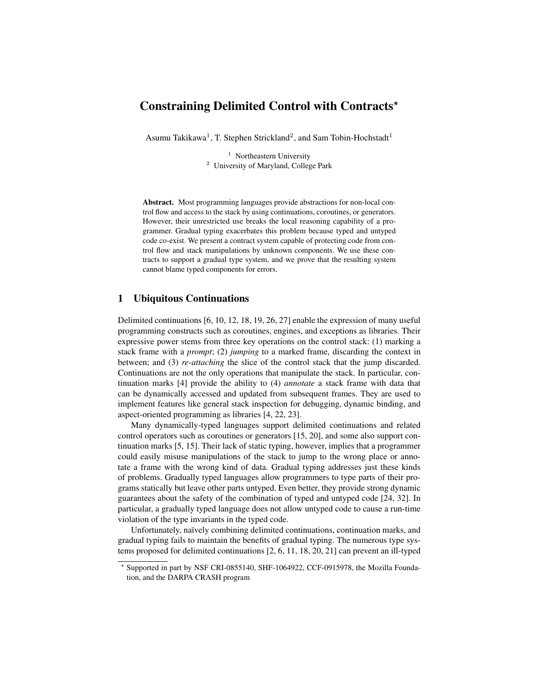# Constraining Delimited Control with Contracts?

Asumu Takikawa<sup>1</sup>, T. Stephen Strickland<sup>2</sup>, and Sam Tobin-Hochstadt<sup>1</sup>

<sup>1</sup> Northeastern University <sup>2</sup> University of Maryland, College Park

Abstract. Most programming languages provide abstractions for non-local control flow and access to the stack by using continuations, coroutines, or generators. However, their unrestricted use breaks the local reasoning capability of a programmer. Gradual typing exacerbates this problem because typed and untyped code co-exist. We present a contract system capable of protecting code from control flow and stack manipulations by unknown components. We use these contracts to support a gradual type system, and we prove that the resulting system cannot blame typed components for errors.

## 1 Ubiquitous Continuations

Delimited continuations [6, 10, 12, 18, 19, 26, 27] enable the expression of many useful programming constructs such as coroutines, engines, and exceptions as libraries. Their expressive power stems from three key operations on the control stack: (1) marking a stack frame with a *prompt*; (2) *jumping* to a marked frame, discarding the context in between; and (3) *re-attaching* the slice of the control stack that the jump discarded. Continuations are not the only operations that manipulate the stack. In particular, continuation marks [4] provide the ability to (4) *annotate* a stack frame with data that can be dynamically accessed and updated from subsequent frames. They are used to implement features like general stack inspection for debugging, dynamic binding, and aspect-oriented programming as libraries [4, 22, 23].

Many dynamically-typed languages support delimited continuations and related control operators such as coroutines or generators [15, 20], and some also support continuation marks [5, 15]. Their lack of static typing, however, implies that a programmer could easily misuse manipulations of the stack to jump to the wrong place or annotate a frame with the wrong kind of data. Gradual typing addresses just these kinds of problems. Gradually typed languages allow programmers to type parts of their programs statically but leave other parts untyped. Even better, they provide strong dynamic guarantees about the safety of the combination of typed and untyped code [24, 32]. In particular, a gradually typed language does not allow untyped code to cause a run-time violation of the type invariants in the typed code.

Unfortunately, naïvely combining delimited continuations, continuation marks, and gradual typing fails to maintain the benefits of gradual typing. The numerous type systems proposed for delimited continuations [2, 6, 11, 18, 20, 21] can prevent an ill-typed

<sup>?</sup> Supported in part by NSF CRI-0855140, SHF-1064922, CCF-0915978, the Mozilla Foundation, and the DARPA CRASH program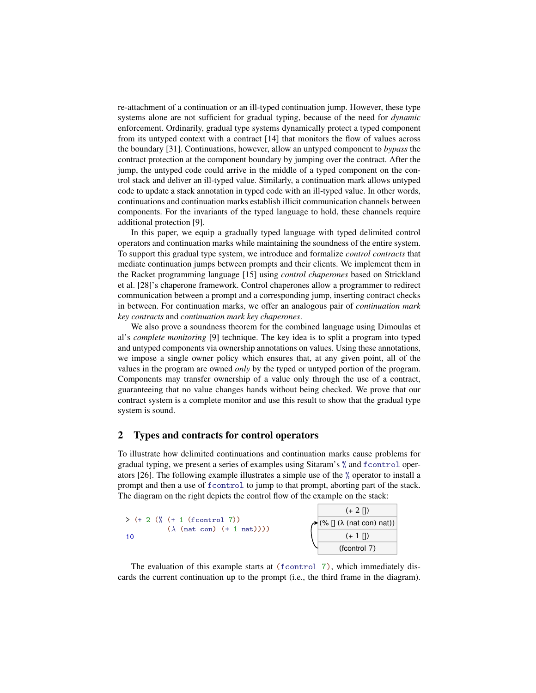re-attachment of a continuation or an ill-typed continuation jump. However, these type systems alone are not sufficient for gradual typing, because of the need for *dynamic* enforcement. Ordinarily, gradual type systems dynamically protect a typed component from its untyped context with a contract [14] that monitors the flow of values across the boundary [31]. Continuations, however, allow an untyped component to *bypass* the contract protection at the component boundary by jumping over the contract. After the jump, the untyped code could arrive in the middle of a typed component on the control stack and deliver an ill-typed value. Similarly, a continuation mark allows untyped code to update a stack annotation in typed code with an ill-typed value. In other words, continuations and continuation marks establish illicit communication channels between components. For the invariants of the typed language to hold, these channels require additional protection [9].

In this paper, we equip a gradually typed language with typed delimited control operators and continuation marks while maintaining the soundness of the entire system. To support this gradual type system, we introduce and formalize *control contracts* that mediate continuation jumps between prompts and their clients. We implement them in the Racket programming language [15] using *control chaperones* based on Strickland et al. [28]'s chaperone framework. Control chaperones allow a programmer to redirect communication between a prompt and a corresponding jump, inserting contract checks in between. For continuation marks, we offer an analogous pair of *continuation mark key contracts* and *continuation mark key chaperones*.

We also prove a soundness theorem for the combined language using Dimoulas et al's *complete monitoring* [9] technique. The key idea is to split a program into typed and untyped components via ownership annotations on values. Using these annotations, we impose a single owner policy which ensures that, at any given point, all of the values in the program are owned *only* by the typed or untyped portion of the program. Components may transfer ownership of a value only through the use of a contract, guaranteeing that no value changes hands without being checked. We prove that our contract system is a complete monitor and use this result to show that the gradual type system is sound.

#### 2 Types and contracts for control operators

To illustrate how delimited continuations and continuation marks cause problems for gradual typing, we present a series of examples using Sitaram's % and fcontrol operators [26]. The following example illustrates a simple use of the % operator to install a prompt and then a use of fcontrol to jump to that prompt, aborting part of the stack. The diagram on the right depicts the control flow of the example on the stack:

|                                                                                       | $(+ 2 \ln)$                |
|---------------------------------------------------------------------------------------|----------------------------|
| $> (+ 2 (\%) (+ 1 (frontrol 7))$<br>$(\lambda \text{ (nat con) } (+ 1 \text{ nat})))$ | A (% [] (λ (nat con) nat)) |
| 10                                                                                    | $(+ 1 \parallel)$          |
|                                                                                       | (fcontrol 7)               |

The evaluation of this example starts at (fcontrol 7), which immediately discards the current continuation up to the prompt (i.e., the third frame in the diagram).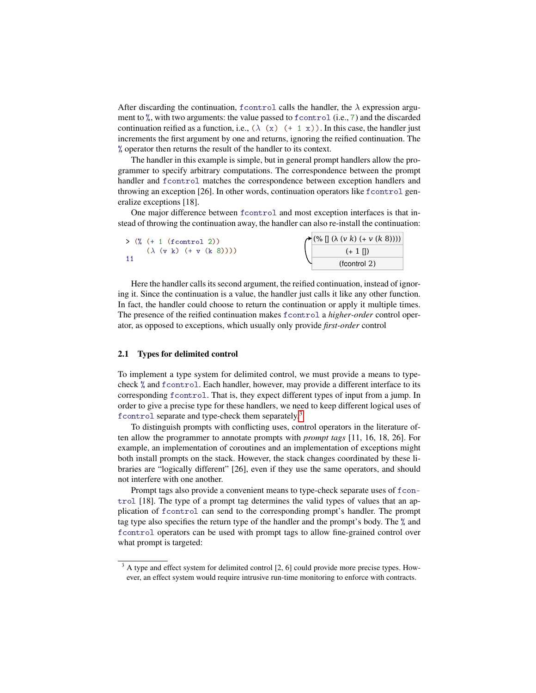After discarding the continuation, f control calls the handler, the  $\lambda$  expression argument to  $\%$ , with two arguments: the value passed to f control (i.e., 7) and the discarded continuation reified as a function, i.e.,  $(\lambda \ (\text{x}) \ (+1 \ \text{x}))$ . In this case, the handler just increments the first argument by one and returns, ignoring the reified continuation. The % operator then returns the result of the handler to its context.

The handler in this example is simple, but in general prompt handlers allow the programmer to specify arbitrary computations. The correspondence between the prompt handler and fcontrol matches the correspondence between exception handlers and throwing an exception  $[26]$ . In other words, continuation operators like f control generalize exceptions [18].

One major difference between fcontrol and most exception interfaces is that instead of throwing the continuation away, the handler can also re-install the continuation:

| $\angle$ (% (+ 1 (fcontrol 2))     | $\left  \bigotimes ( \% \right] ( \lambda ( v k ) (+ v ( k 8 ) ) ) )$ |
|------------------------------------|-----------------------------------------------------------------------|
| $(\lambda$ (v k) $(+ \nu$ (k 8)))) | $(+ 1 \]$                                                             |
|                                    | (fcontrol 2)                                                          |

Here the handler calls its second argument, the reified continuation, instead of ignoring it. Since the continuation is a value, the handler just calls it like any other function. In fact, the handler could choose to return the continuation or apply it multiple times. The presence of the reified continuation makes fcontrol a *higher-order* control operator, as opposed to exceptions, which usually only provide *first-order* control

#### 2.1 Types for delimited control

To implement a type system for delimited control, we must provide a means to typecheck % and fcontrol. Each handler, however, may provide a different interface to its corresponding fcontrol. That is, they expect different types of input from a jump. In order to give a precise type for these handlers, we need to keep different logical uses of f control separate and type-check them separately.<sup>[3](#page-2-0)</sup>

To distinguish prompts with conflicting uses, control operators in the literature often allow the programmer to annotate prompts with *prompt tags* [11, 16, 18, 26]. For example, an implementation of coroutines and an implementation of exceptions might both install prompts on the stack. However, the stack changes coordinated by these libraries are "logically different" [26], even if they use the same operators, and should not interfere with one another.

Prompt tags also provide a convenient means to type-check separate uses of fcontrol [18]. The type of a prompt tag determines the valid types of values that an application of fcontrol can send to the corresponding prompt's handler. The prompt tag type also specifies the return type of the handler and the prompt's body. The % and fcontrol operators can be used with prompt tags to allow fine-grained control over what prompt is targeted:

<span id="page-2-0"></span> $3$  A type and effect system for delimited control [2, 6] could provide more precise types. However, an effect system would require intrusive run-time monitoring to enforce with contracts.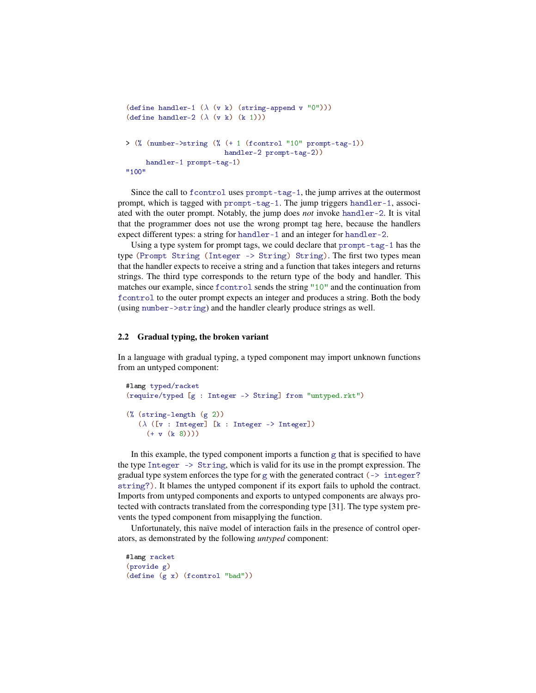```
(define handler-1 (\lambda (v k) (string-append v "0")))
(define handler-2 (\lambda (v k) (k 1)))
> (% (number->string (% (+ 1 (fcontrol "10" prompt-tag-1))
                         handler-2 prompt-tag-2))
     handler-1 prompt-tag-1)
"100"
```
Since the call to fcontrol uses prompt-tag-1, the jump arrives at the outermost prompt, which is tagged with prompt-tag-1. The jump triggers handler-1, associated with the outer prompt. Notably, the jump does *not* invoke handler-2. It is vital that the programmer does not use the wrong prompt tag here, because the handlers expect different types: a string for handler-1 and an integer for handler-2.

Using a type system for prompt tags, we could declare that prompt-tag-1 has the type (Prompt String (Integer -> String) String). The first two types mean that the handler expects to receive a string and a function that takes integers and returns strings. The third type corresponds to the return type of the body and handler. This matches our example, since fcontrol sends the string "10" and the continuation from fcontrol to the outer prompt expects an integer and produces a string. Both the body (using number->string) and the handler clearly produce strings as well.

#### 2.2 Gradual typing, the broken variant

In a language with gradual typing, a typed component may import unknown functions from an untyped component:

```
#lang typed/racket
(require/typed [g : Integer -> String] from "untyped.rkt")
(% (string-length (g 2))
   (λ ([v : Integer] [k : Integer -> Integer])
     (+ \, v \, (k \, 8))))
```
In this example, the typed component imports a function  $g$  that is specified to have the type Integer -> String, which is valid for its use in the prompt expression. The gradual type system enforces the type for g with the generated contract  $(-\rightarrow$  integer? string?). It blames the untyped component if its export fails to uphold the contract. Imports from untyped components and exports to untyped components are always protected with contracts translated from the corresponding type [31]. The type system prevents the typed component from misapplying the function.

Unfortunately, this naïve model of interaction fails in the presence of control operators, as demonstrated by the following *untyped* component:

```
#lang racket
(provide g)
(define (g x) (fcontrol "bad"))
```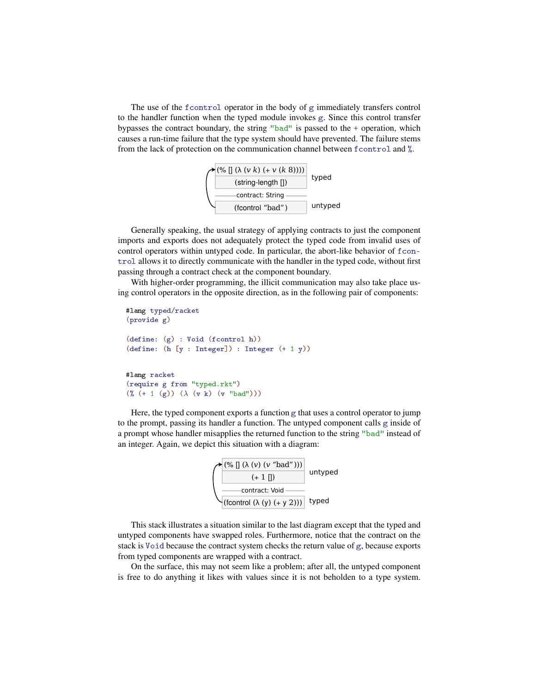The use of the fcontrol operator in the body of g immediately transfers control to the handler function when the typed module invokes g. Since this control transfer bypasses the contract boundary, the string "bad" is passed to the + operation, which causes a run-time failure that the type system should have prevented. The failure stems from the lack of protection on the communication channel between fcontrol and %.



Generally speaking, the usual strategy of applying contracts to just the component imports and exports does not adequately protect the typed code from invalid uses of control operators within untyped code. In particular, the abort-like behavior of fcontrol allows it to directly communicate with the handler in the typed code, without first passing through a contract check at the component boundary.

With higher-order programming, the illicit communication may also take place using control operators in the opposite direction, as in the following pair of components:

```
#lang typed/racket
(provide g)
(define: (g) : Void (fcontrol h))
(define: (h [y : Integer]) : Integer (+ 1 y))
#lang racket
(require g from "typed.rkt")
(\% ( + 1 (g)) (\lambda (v k) (v "bad")) )
```
Here, the typed component exports a function g that uses a control operator to jump to the prompt, passing its handler a function. The untyped component calls g inside of a prompt whose handler misapplies the returned function to the string "bad" instead of an integer. Again, we depict this situation with a diagram:

| $\rightarrow$ (% [] ( $\lambda$ (v) (v "bad")))                  |         |
|------------------------------------------------------------------|---------|
| $(+ 1 \parallel)$                                                | untyped |
| contract: Void                                                   |         |
| $\left \left(\text{frontrol }(\lambda(y) (+ y 2)))\right $ typed |         |

This stack illustrates a situation similar to the last diagram except that the typed and untyped components have swapped roles. Furthermore, notice that the contract on the stack is Void because the contract system checks the return value of g, because exports from typed components are wrapped with a contract.

On the surface, this may not seem like a problem; after all, the untyped component is free to do anything it likes with values since it is not beholden to a type system.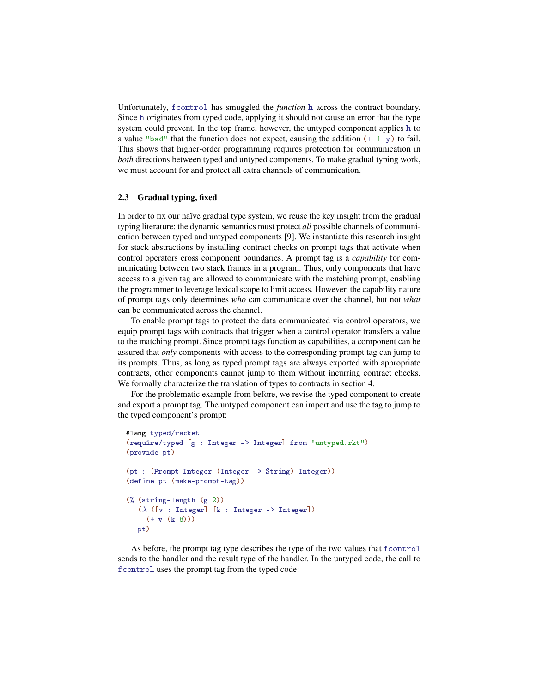Unfortunately, fcontrol has smuggled the *function* h across the contract boundary. Since h originates from typed code, applying it should not cause an error that the type system could prevent. In the top frame, however, the untyped component applies h to a value "bad" that the function does not expect, causing the addition  $(+ 1 y)$  to fail. This shows that higher-order programming requires protection for communication in *both* directions between typed and untyped components. To make gradual typing work, we must account for and protect all extra channels of communication.

#### 2.3 Gradual typing, fixed

In order to fix our naïve gradual type system, we reuse the key insight from the gradual typing literature: the dynamic semantics must protect *all* possible channels of communication between typed and untyped components [9]. We instantiate this research insight for stack abstractions by installing contract checks on prompt tags that activate when control operators cross component boundaries. A prompt tag is a *capability* for communicating between two stack frames in a program. Thus, only components that have access to a given tag are allowed to communicate with the matching prompt, enabling the programmer to leverage lexical scope to limit access. However, the capability nature of prompt tags only determines *who* can communicate over the channel, but not *what* can be communicated across the channel.

To enable prompt tags to protect the data communicated via control operators, we equip prompt tags with contracts that trigger when a control operator transfers a value to the matching prompt. Since prompt tags function as capabilities, a component can be assured that *only* components with access to the corresponding prompt tag can jump to its prompts. Thus, as long as typed prompt tags are always exported with appropriate contracts, other components cannot jump to them without incurring contract checks. We formally characterize the translation of types to contracts in section 4.

For the problematic example from before, we revise the typed component to create and export a prompt tag. The untyped component can import and use the tag to jump to the typed component's prompt:

```
#lang typed/racket
(require/typed [g : Integer -> Integer] from "untyped.rkt")
(provide pt)
(pt : (Prompt Integer (Integer -> String) Integer))
(define pt (make-prompt-tag))
(% (string-length (g 2))
   (\lambda ([v : Integer] [k : Integer -> Integer])
     (+ v (k 8)))
  pt)
```
As before, the prompt tag type describes the type of the two values that f control sends to the handler and the result type of the handler. In the untyped code, the call to fcontrol uses the prompt tag from the typed code: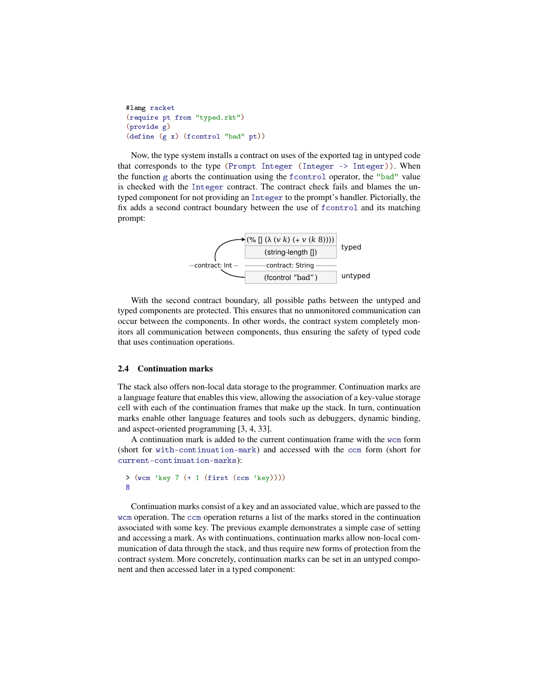```
#lang racket
(require pt from "typed.rkt")
(provide g)
(define (g x) (fcontrol "bad" pt))
```
Now, the type system installs a contract on uses of the exported tag in untyped code that corresponds to the type (Prompt Integer (Integer -> Integer)). When the function g aborts the continuation using the fcontrol operator, the "bad" value is checked with the Integer contract. The contract check fails and blames the untyped component for not providing an Integer to the prompt's handler. Pictorially, the fix adds a second contract boundary between the use of fcontrol and its matching prompt:



With the second contract boundary, all possible paths between the untyped and typed components are protected. This ensures that no unmonitored communication can occur between the components. In other words, the contract system completely monitors all communication between components, thus ensuring the safety of typed code that uses continuation operations.

#### 2.4 Continuation marks

The stack also offers non-local data storage to the programmer. Continuation marks are a language feature that enables this view, allowing the association of a key-value storage cell with each of the continuation frames that make up the stack. In turn, continuation marks enable other language features and tools such as debuggers, dynamic binding, and aspect-oriented programming [3, 4, 33].

A continuation mark is added to the current continuation frame with the wcm form (short for with-continuation-mark) and accessed with the ccm form (short for current-continuation-marks):

```
> (wcm 'key 7 (+ 1 (first (ccm 'key))))
8
```
Continuation marks consist of a key and an associated value, which are passed to the wcm operation. The ccm operation returns a list of the marks stored in the continuation associated with some key. The previous example demonstrates a simple case of setting and accessing a mark. As with continuations, continuation marks allow non-local communication of data through the stack, and thus require new forms of protection from the contract system. More concretely, continuation marks can be set in an untyped component and then accessed later in a typed component: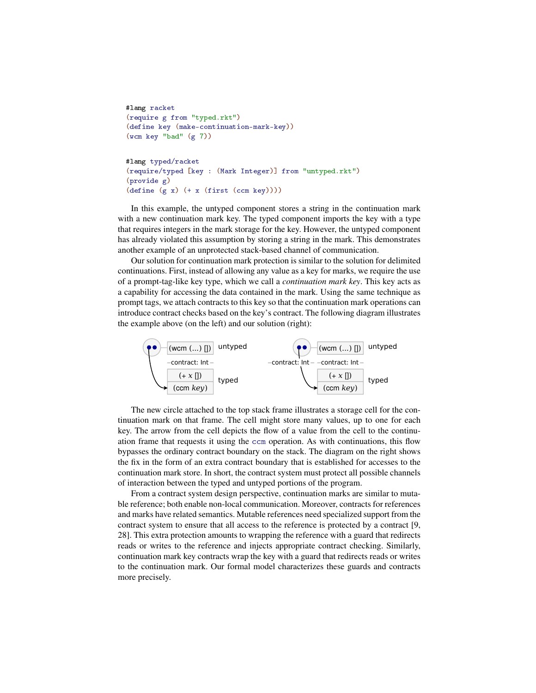```
#lang racket
(require g from "typed.rkt")
(define key (make-continuation-mark-key))
(wcm key "bad" (g 7))
#lang typed/racket
(require/typed [key : (Mark Integer)] from "untyped.rkt")
(provide g)
(define (g x) (+ x (first (ccm key))))
```
In this example, the untyped component stores a string in the continuation mark with a new continuation mark key. The typed component imports the key with a type that requires integers in the mark storage for the key. However, the untyped component has already violated this assumption by storing a string in the mark. This demonstrates another example of an unprotected stack-based channel of communication.

Our solution for continuation mark protection is similar to the solution for delimited continuations. First, instead of allowing any value as a key for marks, we require the use of a prompt-tag-like key type, which we call a *continuation mark key*. This key acts as a capability for accessing the data contained in the mark. Using the same technique as prompt tags, we attach contracts to this key so that the continuation mark operations can introduce contract checks based on the key's contract. The following diagram illustrates the example above (on the left) and our solution (right):



The new circle attached to the top stack frame illustrates a storage cell for the continuation mark on that frame. The cell might store many values, up to one for each key. The arrow from the cell depicts the flow of a value from the cell to the continuation frame that requests it using the ccm operation. As with continuations, this flow bypasses the ordinary contract boundary on the stack. The diagram on the right shows the fix in the form of an extra contract boundary that is established for accesses to the continuation mark store. In short, the contract system must protect all possible channels of interaction between the typed and untyped portions of the program.

From a contract system design perspective, continuation marks are similar to mutable reference; both enable non-local communication. Moreover, contracts for references and marks have related semantics. Mutable references need specialized support from the contract system to ensure that all access to the reference is protected by a contract [9, 28]. This extra protection amounts to wrapping the reference with a guard that redirects reads or writes to the reference and injects appropriate contract checking. Similarly, continuation mark key contracts wrap the key with a guard that redirects reads or writes to the continuation mark. Our formal model characterizes these guards and contracts more precisely.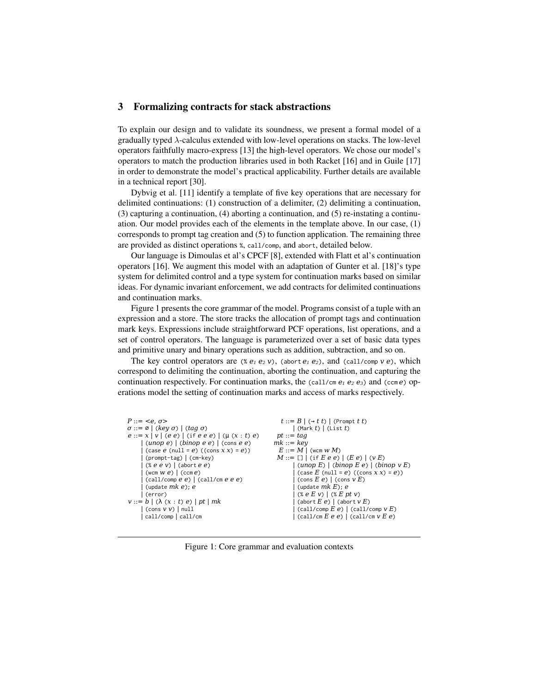### 3 Formalizing contracts for stack abstractions

To explain our design and to validate its soundness, we present a formal model of a gradually typed λ-calculus extended with low-level operations on stacks. The low-level operators faithfully macro-express [13] the high-level operators. We chose our model's operators to match the production libraries used in both Racket [16] and in Guile [17] in order to demonstrate the model's practical applicability. Further details are available in a technical report [30].

Dybvig et al. [11] identify a template of five key operations that are necessary for delimited continuations: (1) construction of a delimiter, (2) delimiting a continuation, (3) capturing a continuation, (4) aborting a continuation, and (5) re-instating a continuation. Our model provides each of the elements in the template above. In our case, (1) corresponds to prompt tag creation and (5) to function application. The remaining three are provided as distinct operations %, call/comp , and abort , detailed below.

Our language is Dimoulas et al's CPCF [8], extended with Flatt et al's continuation operators [16]. We augment this model with an adaptation of Gunter et al. [18]'s type system for delimited control and a type system for continuation marks based on similar ideas. For dynamic invariant enforcement, we add contracts for delimited continuations and continuation marks.

Figure 1 presents the core grammar of the model. Programs consist of a tuple with an expression and a store. The store tracks the allocation of prompt tags and continuation mark keys. Expressions include straightforward PCF operations, list operations, and a set of control operators. The language is parameterized over a set of basic data types and primitive unary and binary operations such as addition, subtraction, and so on.

The key control operators are  $(*e_1e_2v)$ , (abort  $e_1e_2$ ), and (call/comp  $v e$ ), which correspond to delimiting the continuation, aborting the continuation, and capturing the continuation respectively. For continuation marks, the  $\text{(call/cm } e_1 \, e_2 \, e_3)$  and  $\text{(ccm } e)$  operations model the setting of continuation marks and access of marks respectively.

```
P ::= <e, σ>
σ ::= ∅ | (key σ) | (tag σ)
e ::= x | v | (e e) | (if e e e) | (μ (x : t) e)
      | (unop e) | (binop e e) | (cons e e)
       | (case e (null = e) ((cons x x) = e))
       | (prompt-tag) | (cm-key)
       | (% e e v) | (abort e e)
       | (wcm w e) | (ccm e)
       | (call/comp e e) | (call/cm e e e)
       | (update mk e); e
      | (error)
v ::= b | (λ (x : t) e) | pt | mk
      | (cons v v) | null
      | call/comp | call/cm
                                                           t := B \mid (\rightarrow t \ t) \mid (Prompt t \ t) | (Mark t) | (List t)
                                                          pt ::= tag
                                                        mk ::= key
                                                          E ::= M (wcm W M)
                                                          M ::= [] | (if E e e) | (E e) | (v E)
                                                                 | (unop E) | (binop E e) | (binop v E)
                                                                  | (case E (null = e) ((cons x x) = e))
                                                                  | (cons E e) | (cons v E)
                                                                  | (update mk E); e
                                                                  | (% e E v) | (% E pt v)
                                                                 (\text{abort } E \neq) | (\text{abort } V \neq E)\lceil (call/comp \vec{E} e) \lceil (call/comp \nu E)
                                                                 | (call/cm E e e) | (call/cm v E e)
```
Figure 1: Core grammar and evaluation contexts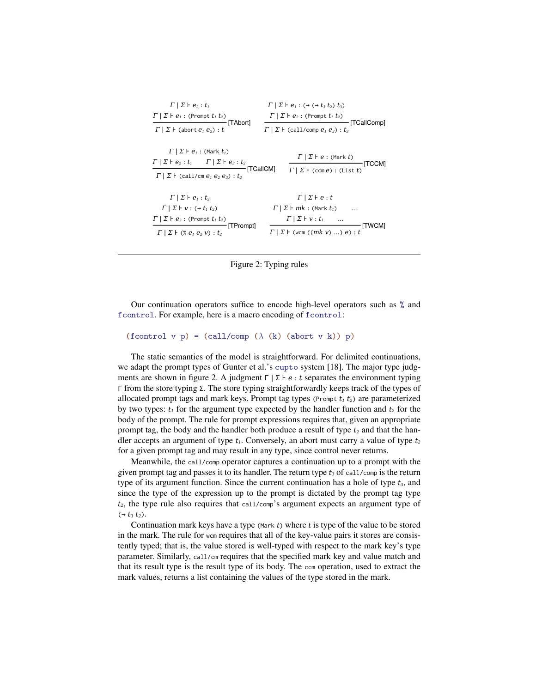| $\Gamma \mid \Sigma \vdash e_2 : t_1$                                                                                                                                                               | $\Gamma$   $\Sigma$ + $e_1$ : ( $\rightarrow$ ( $\rightarrow$ $t_3$ $t_2$ ) $t_3$ )       |
|-----------------------------------------------------------------------------------------------------------------------------------------------------------------------------------------------------|-------------------------------------------------------------------------------------------|
| $\Gamma \mid \Sigma \vdash e_1$ : (Prompt $t_1 t_2$ )                                                                                                                                               | $\Gamma \mid \Sigma \vdash e_2$ : (Prompt $t_1$ $t_2$ )                                   |
| —— [TAbort]                                                                                                                                                                                         | — [TCallComp]                                                                             |
| $\Gamma   \Sigma$ + (abort $e_1 e_2$ ) : t                                                                                                                                                          | $\Gamma   \Sigma$ + (call/comp $e_1 e_2$ ) : $t_3$                                        |
| $\Gamma \mid \Sigma \vdash e_1 :$ (Mark $t_1$ )<br>$\Gamma   \Sigma \vdash e_2 : t_1 \quad \Gamma   \Sigma \vdash e_3 : t_2$<br>- [TCallCM]<br>$\Gamma   \Sigma$ + (call/cm $e_1 e_2 e_3$ ) : $t_2$ | $\Gamma   \Sigma \vdash e :$ (Mark t)<br>[TCCM]<br>$\Gamma   \Sigma$ + (ccm e) : (List t) |
| $\Gamma$   $\Sigma$ + $e_1$ : $t_2$                                                                                                                                                                 | $\Gamma   \Sigma$ + e : t                                                                 |
| $\Gamma   \Sigma \vdash v : (\rightarrow t_1 t_2)$                                                                                                                                                  | $\Gamma \mid \Sigma \vdash m k :$ (Mark $t_1$ )                                           |
| $\Gamma \mid \Sigma \vdash e_2$ : (Prompt $t_1$ $t_2$ )                                                                                                                                             | $\Gamma   \Sigma \vdash v : t_1$                                                          |
| — [TPrompt]                                                                                                                                                                                         | I I WCM]                                                                                  |
| $\Gamma$   $\Sigma$ + (% $e_1$ $e_2$ v) : $t_2$                                                                                                                                                     | $\Gamma   \Sigma$ + (wcm ((mk v) ) e) : t                                                 |

Figure 2: Typing rules

Our continuation operators suffice to encode high-level operators such as % and fcontrol. For example, here is a macro encoding of fcontrol:

(fcontrol v p) = (call/comp  $(\lambda$  (k) (abort v k)) p)

The static semantics of the model is straightforward. For delimited continuations, we adapt the prompt types of Gunter et al.'s cupto system [18]. The major type judgments are shown in figure 2. A judgment Γ | Σ ⊦ *e* : *t* separates the environment typing Γ from the store typing Σ . The store typing straightforwardly keeps track of the types of allocated prompt tags and mark keys. Prompt tag types (Prompt  $t_1$   $t_2$ ) are parameterized by two types:  $t_1$  for the argument type expected by the handler function and  $t_2$  for the body of the prompt. The rule for prompt expressions requires that, given an appropriate prompt tag, the body and the handler both produce a result of type  $t_2$  and that the handler accepts an argument of type  $t_1$ . Conversely, an abort must carry a value of type  $t_2$ for a given prompt tag and may result in any type, since control never returns.

Meanwhile, the call/comp operator captures a continuation up to a prompt with the given prompt tag and passes it to its handler. The return type  $t_3$  of call/comp is the return type of its argument function. Since the current continuation has a hole of type  $t_3$ , and since the type of the expression up to the prompt is dictated by the prompt tag type t<sub>2</sub>, the type rule also requires that call/comp's argument expects an argument type of  $( \rightarrow t_3 t_2 ).$ 

Continuation mark keys have a type (Mark t) where t is type of the value to be stored in the mark. The rule for wcm requires that all of the key-value pairs it stores are consistently typed; that is, the value stored is well-typed with respect to the mark key's type parameter. Similarly, call/cm requires that the specified mark key and value match and that its result type is the result type of its body. The ccm operation, used to extract the mark values, returns a list containing the values of the type stored in the mark.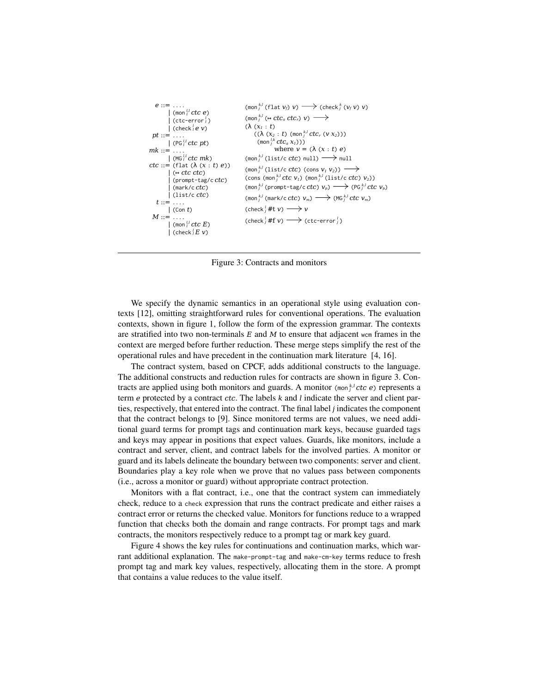```
e ::= ....
          | (mon ^{l,l}_l ctc e)
           | (ctc-error l
l )
          | (check |e| e v)
 pt ::= ...
          \int (PG^{l,l}_{l} ctc pt)
mk ::= ....
          \int (MG^{l,l}_{l} ctc mk)
ctc ::= (flat (\lambda (x : t) e))
            | (↦ ctc ctc)
             | (prompt-tag/c ctc)
             | (mark/c ctc)
           | (list/c ctc)
   t ::= ....
           | (Con t)
 M ::= \ldots| (mon ^{l,l}_l ctc E)
          | (check {}^l_i E v)
                                                       (\text{mon}_j^{k,l}(\text{flat } v_j) \vee ) \longrightarrow (\text{check}_j^k(v_j \vee v) \vee )(mon k,l
j (↦ ctca ctcr) v)
                                                      (λ (x1 : t)
                                                            ((\lambda (x_2 : t) (mon_j^{k,l} ctc_r (v x_2)))(\text{mon}_i^{l,k} ctc_a x_1))where v = (\lambda (x : t) e)(\text{mon}_j^{k,l}(\text{list/c } ctc) \text{ null}) \longrightarrow \text{null}(mon k,l
j (list/c ctc) (cons v1 v2))
                                                       (cons (mon ^{k,l}_i ctc v_1) (mon ^{k,l}_i (list/c ctc) v_2))
                                                       \langle \text{mon }^{k,l}_i \text{ (prompt-tag/c } ctc) \vee p \rangle \longrightarrow \langle \text{PG }^{k,l}_i \text{ ctc } \vee p \rangle(\text{mon }^{k,l}_i \text{ (mark/c } ctc) \text{ } v_m) \longrightarrow (\text{MG }^{k,l}_i \text{ } ctc \text{ } v_m)(check ^l_j #t v) \longrightarrow v(\text{check}_j \# f \nu) \longrightarrow (\text{ctc-error}_j^l)
```


We specify the dynamic semantics in an operational style using evaluation contexts [12], omitting straightforward rules for conventional operations. The evaluation contexts, shown in figure 1, follow the form of the expression grammar. The contexts are stratified into two non-terminals *E* and *M* to ensure that adjacent wcm frames in the context are merged before further reduction. These merge steps simplify the rest of the operational rules and have precedent in the continuation mark literature [4, 16].

The contract system, based on CPCF, adds additional constructs to the language. The additional constructs and reduction rules for contracts are shown in figure 3. Contracts are applied using both monitors and guards. A monitor (mon $j<sup>k,l</sup>$ ctc *e*) represents a term *e* protected by a contract *ctc* . The labels *k* and *l* indicate the server and client parties, respectively, that entered into the contract. The final label *j* indicates the component that the contract belongs to [9]. Since monitored terms are not values, we need additional guard terms for prompt tags and continuation mark keys, because guarded tags and keys may appear in positions that expect values. Guards, like monitors, include a contract and server, client, and contract labels for the involved parties. A monitor or guard and its labels delineate the boundary between two components: server and client. Boundaries play a key role when we prove that no values pass between components (i.e., across a monitor or guard) without appropriate contract protection.

Monitors with a flat contract, i.e., one that the contract system can immediately check, reduce to a check expression that runs the contract predicate and either raises a contract error or returns the checked value. Monitors for functions reduce to a wrapped function that checks both the domain and range contracts. For prompt tags and mark contracts, the monitors respectively reduce to a prompt tag or mark key guard.

Figure 4 shows the key rules for continuations and continuation marks, which warrant additional explanation. The make-prompt-tag and make-cm-key terms reduce to fresh prompt tag and mark key values, respectively, allocating them in the store. A prompt that contains a value reduces to the value itself.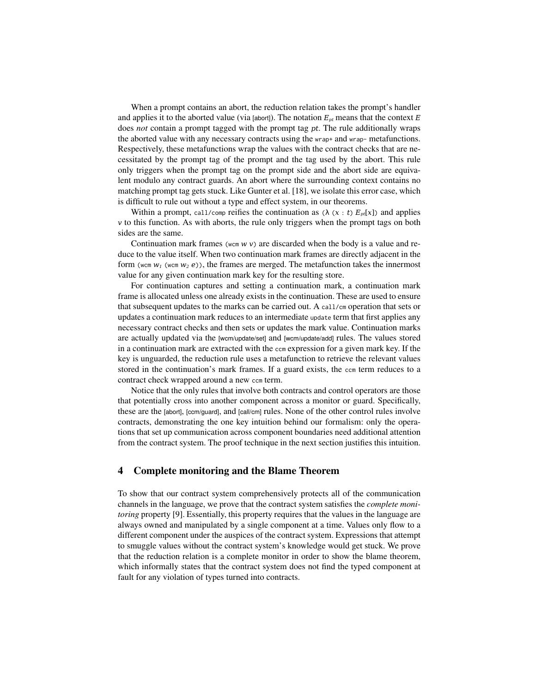When a prompt contains an abort, the reduction relation takes the prompt's handler and applies it to the aborted value (via [abort] ). The notation *Ept* means that the context *E* does *not* contain a prompt tagged with the prompt tag *pt* . The rule additionally wraps the aborted value with any necessary contracts using the wrap+ and wrap- metafunctions. Respectively, these metafunctions wrap the values with the contract checks that are necessitated by the prompt tag of the prompt and the tag used by the abort. This rule only triggers when the prompt tag on the prompt side and the abort side are equivalent modulo any contract guards. An abort where the surrounding context contains no matching prompt tag gets stuck. Like Gunter et al. [18], we isolate this error case, which is difficult to rule out without a type and effect system, in our theorems.

Within a prompt, call/comp reifies the continuation as  $(\lambda (x : t) E_{pt}[x])$  and applies *v* to this function. As with aborts, the rule only triggers when the prompt tags on both sides are the same.

Continuation mark frames (wcm *w v*) are discarded when the body is a value and reduce to the value itself. When two continuation mark frames are directly adjacent in the form (wcm  $w_1$  (wcm  $w_2$   $e$ )), the frames are merged. The metafunction takes the innermost value for any given continuation mark key for the resulting store.

For continuation captures and setting a continuation mark, a continuation mark frame is allocated unless one already exists in the continuation. These are used to ensure that subsequent updates to the marks can be carried out. A call/cm operation that sets or updates a continuation mark reduces to an intermediate update term that first applies any necessary contract checks and then sets or updates the mark value. Continuation marks are actually updated via the [wcm/update/set] and [wcm/update/add] rules. The values stored in a continuation mark are extracted with the ccm expression for a given mark key. If the key is unguarded, the reduction rule uses a metafunction to retrieve the relevant values stored in the continuation's mark frames. If a guard exists, the come term reduces to a contract check wrapped around a new ccm term.

Notice that the only rules that involve both contracts and control operators are those that potentially cross into another component across a monitor or guard. Specifically, these are the [abort], [ccm/guard], and [call/cm] rules. None of the other control rules involve contracts, demonstrating the one key intuition behind our formalism: only the operations that set up communication across component boundaries need additional attention from the contract system. The proof technique in the next section justifies this intuition.

## 4 Complete monitoring and the Blame Theorem

To show that our contract system comprehensively protects all of the communication channels in the language, we prove that the contract system satisfies the *complete monitoring* property [9]. Essentially, this property requires that the values in the language are always owned and manipulated by a single component at a time. Values only flow to a different component under the auspices of the contract system. Expressions that attempt to smuggle values without the contract system's knowledge would get stuck. We prove that the reduction relation is a complete monitor in order to show the blame theorem, which informally states that the contract system does not find the typed component at fault for any violation of types turned into contracts.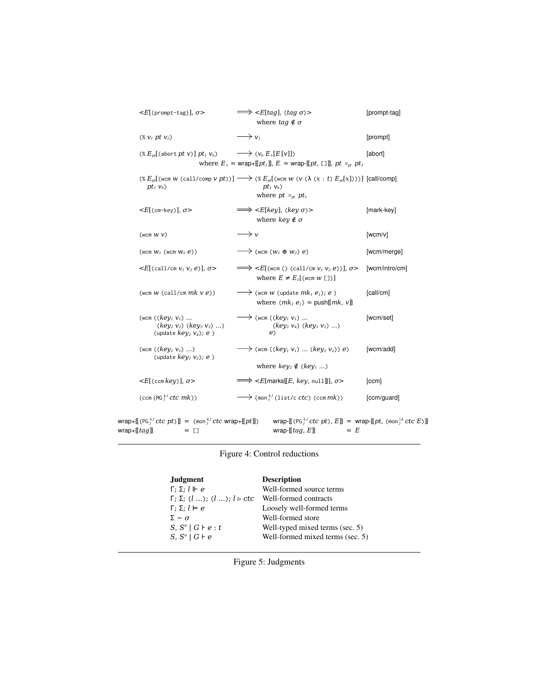|                                                                                                                                                                                                                                                                         | $\leq E[(\text{prompt-tag})], \sigma$                                                 |                       | $\Longrightarrow$ <e[tag], (tag="" <math="">\sigma)&gt;<br/>where tag <math>\notin \sigma</math></e[tag],>                                                               | [prompt-tag]   |
|-------------------------------------------------------------------------------------------------------------------------------------------------------------------------------------------------------------------------------------------------------------------------|---------------------------------------------------------------------------------------|-----------------------|--------------------------------------------------------------------------------------------------------------------------------------------------------------------------|----------------|
|                                                                                                                                                                                                                                                                         | $(\% v_1 pt v_2)$                                                                     | $\longrightarrow v_i$ |                                                                                                                                                                          | [prompt]       |
|                                                                                                                                                                                                                                                                         | $(\mathscr{E}_{pt}[(\text{abort pt } v)] pt_1 v_h)$ $\longrightarrow (v_h E_+[E[v]])$ |                       | where $E_{+}$ = wrap+[[pt <sub>1</sub> ]], E = wrap-[[pt, []]], pt = <sub>pt</sub> pt <sub>1</sub>                                                                       | [abort]        |
|                                                                                                                                                                                                                                                                         | $pt_1 v_h$                                                                            |                       | (% $E_{pt}$ [(wcm w (call/comp v pt))] $\longrightarrow$ (% $E_{pt}$ [(wcm w (v ( $\lambda$ (x : t) $E_{pt}[x]$ )))] [call/comp]<br>$pt_1 v_h$<br>where $pt =_{pt} pt_1$ |                |
|                                                                                                                                                                                                                                                                         | $\leq E[(cm - key)], \sigma$                                                          |                       | $\Longrightarrow$ <e[key], (key="" <math="">\sigma)&gt;<br/>where <math>key \notin \sigma</math></e[key],>                                                               | [mark-key]     |
|                                                                                                                                                                                                                                                                         | (wcm $W V$ )                                                                          | $\longrightarrow v$   |                                                                                                                                                                          | [wcm/v]        |
|                                                                                                                                                                                                                                                                         | (wcm $W_1$ (wcm $W_2$ e))                                                             |                       | $\longrightarrow$ (wcm $(w_1 \oplus w_2) e$ )                                                                                                                            | [wcm/merge]    |
|                                                                                                                                                                                                                                                                         | $\leq E[(\text{call/cm } v_1 v_2 e)], \sigma$                                         |                       | $\Longrightarrow$ < $E[(\text{wcm}() (call/cm V_1 V_2 e))]$ , $\sigma$ ><br>where $E \neq E_i$ [(wcm W[])]                                                               | [wcm/intro/cm] |
|                                                                                                                                                                                                                                                                         | (wcm $W$ (call/cm $mk$ $v$ $e$ ))                                                     |                       | $\longrightarrow$ (wcm W (update $mk_1 e_1$ ); e)<br>where $(mk_1 e_1) = \text{push}[[mk, v]]$                                                                           | [call/cm]      |
|                                                                                                                                                                                                                                                                         | (wcm $((key1 v1) $<br>$(key_2 v_2) (key_3 v_3) )$<br>(update $key_2$ $v_4$ ); e)      |                       | $\rightarrow$ (wcm (( $key_1$ $v_1$ )<br>$(key_2 v_4) (key_3 v_3) )$<br>e)                                                                                               | [wcm/set]      |
|                                                                                                                                                                                                                                                                         | (wcm $((key_1 \nu_1))$<br>(update $key_2$ $v_2$ ); e)                                 |                       | $\longrightarrow$ (wcm (( $key_1$ $v_1$ )  ( $key_2$ $v_2$ )) $e$ )                                                                                                      | [wcm/add]      |
|                                                                                                                                                                                                                                                                         |                                                                                       |                       | where $key_2 \notin (key_1 )$                                                                                                                                            |                |
|                                                                                                                                                                                                                                                                         | $\leq E[(\text{ccm} \, \text{keV})], \sigma$                                          |                       | $\Longrightarrow$ <e[marks[[e, <math="" key,="" null]],="">\sigma&gt;</e[marks[[e,>                                                                                      | [ccm]          |
|                                                                                                                                                                                                                                                                         | $(\text{ccm} (\text{MG}_i^{k,l} \text{ctc} \text{mk}))$                               |                       | $\longrightarrow$ (mon <sup>k,l</sup> (list/c <i>ctc</i> ) (ccm mk))                                                                                                     | [ccm/guard]    |
| $\text{wrap+}\llbracket (\text{PG}^{k,l}_jctc\ pt)\rrbracket = (\text{mon}^{k,l}_jctc\ \text{wrap+}\llbracket pt\rrbracket)$<br>wrap- $\llbracket (\mathsf{PG}_j^{k,l} ctc \; pt), E \rrbracket = \text{wrap-} \llbracket pt, (\text{mon}_j^{l,k} ctc \; E) \rrbracket$ |                                                                                       |                       |                                                                                                                                                                          |                |
| $w \cdot \mathbf{I}$ tag]                                                                                                                                                                                                                                               | $=$ []                                                                                |                       | wrap- $[[tag, E]]$<br>$= E$                                                                                                                                              |                |

# Figure 4: Control reductions

| <b>Judgment</b>                                          | <b>Description</b>               |
|----------------------------------------------------------|----------------------------------|
| $\Gamma: \Sigma: l \Vdash e$                             | Well-formed source terms         |
| $\Gamma$ ; $\Sigma$ ; (l ); (l ); l $\triangleright$ ctc | Well-formed contracts            |
| $\Gamma: \Sigma: l \vDash e$                             | Loosely well-formed terms        |
| $\Sigma \sim \sigma$                                     | Well-formed store                |
| $S, S^v \mid G \vdash e : t$                             | Well-typed mixed terms (sec. 5)  |
| $S, S^v \mid G \mid e$                                   | Well-formed mixed terms (sec. 5) |

Figure 5: Judgments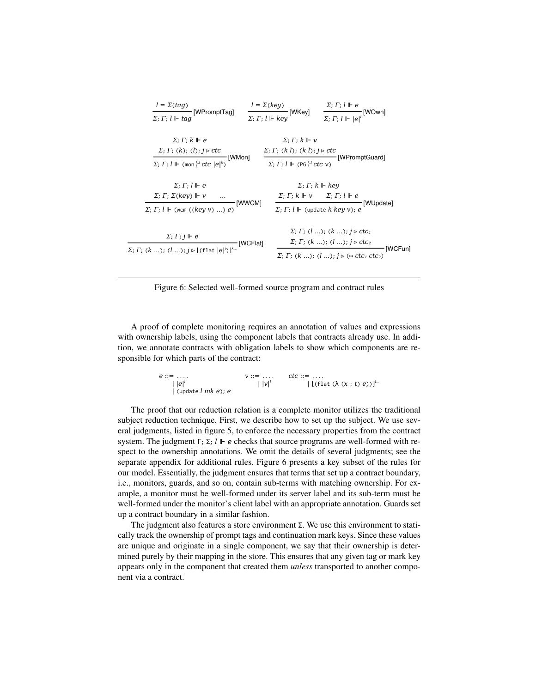| $l = \Sigma(taq)$<br>— [WPromptTag]<br>$\Sigma$ : $\Gamma$ : $l \Vdash$ tag                                                                                                            | $l = \Sigma(key)$<br>$\overline{\Sigma; \Gamma; l \Vdash key}$ [WKey]                                                                                 | $\Sigma$ ; $\Gamma$ ; $l \Vdash e$<br>$\overline{\Sigma; \Gamma; l \Vdash  e }$ [WOwn]                                                                                                                                                        |
|----------------------------------------------------------------------------------------------------------------------------------------------------------------------------------------|-------------------------------------------------------------------------------------------------------------------------------------------------------|-----------------------------------------------------------------------------------------------------------------------------------------------------------------------------------------------------------------------------------------------|
| $\Sigma$ : $\Gamma$ : $k \Vdash e$<br>$\Sigma$ ; $\Gamma$ ; $(k)$ ; $(l)$ ; $j \triangleright ctc$<br>— [WMon]<br>$\Sigma$ : $\Gamma$ : $l \Vdash$ (mon ${}_{i}^{k,l}$ ctc $ e ^{k}$ ) | $\Sigma: \Gamma: k \Vdash v$<br>$\Sigma$ : $\Gamma$ ; (k l); (k l); $i \triangleright ctc$<br>$\Sigma$ ; $\Gamma$ ; $l \Vdash (\neg^{k,l} ctc \nvee)$ | — [WPromptGuard]                                                                                                                                                                                                                              |
| $\Sigma: \Gamma: l \Vdash e$<br>$\Sigma$ ; $\Gamma$ ; $\Sigma$ (key) $\mathbb F$ v<br>- [WWCM]<br>$\Sigma$ ; $\Gamma$ ; $l \Vdash$ (wcm ((key v) ) e)                                  |                                                                                                                                                       | $\Sigma$ : $\Gamma$ : $k \Vdash \text{keV}$<br>$\Sigma$ ; $\Gamma$ ; $k \Vdash v \quad \Sigma$ ; $\Gamma$ ; $l \Vdash e$<br>— [WUpdate]<br>$\Sigma; \Gamma; \ell \Vdash$ (update k key v); e                                                  |
| $\Sigma$ ; $\Gamma$ ; $j \Vdash e$<br>$\Sigma; \Gamma; (k ); (l ); j \triangleright [(\text{flat } e ^j)]^{k }$                                                                        | [WCFlat]                                                                                                                                              | $\Sigma: \Gamma: (l \ldots); (k \ldots); j \triangleright ctc_1$<br>$\Sigma$ ; $\Gamma$ ; $(k \ldots)$ ; $(l \ldots)$ ; $j \triangleright ctc_2$<br>[WCFun]<br>$\Sigma$ : $\Gamma$ ; (k ); (l ); $j \triangleright (\rightarrow ctc_1 ctc_2)$ |

Figure 6: Selected well-formed source program and contract rules

A proof of complete monitoring requires an annotation of values and expressions with ownership labels, using the component labels that contracts already use. In addition, we annotate contracts with obligation labels to show which components are responsible for which parts of the contract:

$$
e ::= \dots
$$
  
 
$$
|e|^{i}
$$
  
 
$$
|v|^{i}
$$
  
 
$$
|v|^{i}
$$
  
 
$$
|U|^{i}
$$
  
 
$$
|U|^{i}
$$
  
 
$$
|U|^{i}
$$
  
 
$$
|U|^{i}
$$
  
 
$$
|U|^{i}
$$
  
 
$$
|U|^{i}
$$
  
 
$$
|U|^{i}
$$
  
 
$$
|U|^{i}
$$
  
 
$$
|U|^{i}
$$
  
 
$$
|U|^{i}
$$
  
 
$$
|U|^{i}
$$
  
 
$$
|U|^{i}
$$
  
 
$$
|U|^{i}
$$
  
 
$$
|U|^{i}
$$
  
 
$$
|U|^{i}
$$
  
 
$$
|U|^{i}
$$
  
 
$$
|U|^{i}
$$
  
 
$$
|U|^{i}
$$
  
 
$$
|U|^{i}
$$
  
 
$$
|U|^{i}
$$
  
 
$$
|U|^{i}
$$
  
 
$$
|U|^{i}
$$
  
 
$$
|U|^{i}
$$
  
 
$$
|U|^{i}
$$
  
 
$$
|U|^{i}
$$
  
 
$$
|U|^{i}
$$
  
 
$$
|U|^{i}
$$
  
 
$$
|U|^{i}
$$
  
 
$$
|U|^{i}
$$
  
 
$$
|U|^{i}
$$
  
 
$$
|U|^{i}
$$
  
 
$$
|U|^{i}
$$
  
 
$$
|U|^{i}
$$
  
 
$$
|U|^{i}
$$
  
 
$$
|U|^{i}
$$
  
 
$$
|U|^{i}
$$
  
 
$$
|U|^{i}
$$
  
 
$$
|U|^{i}
$$
  
 
$$
|U|^{i}
$$
  
 
$$
|U|^{i}
$$
  
 
$$
|U|^{i}
$$
  
 
$$
|U|^{i}
$$
  
 
$$
|U|^{i}
$$
  
 
$$
|U|^{i}
$$
<

The proof that our reduction relation is a complete monitor utilizes the traditional subject reduction technique. First, we describe how to set up the subject. We use several judgments, listed in figure 5, to enforce the necessary properties from the contract system. The judgment Γ; Σ; *l* ⊩ *e* checks that source programs are well-formed with respect to the ownership annotations. We omit the details of several judgments; see the separate appendix for additional rules. Figure 6 presents a key subset of the rules for our model. Essentially, the judgment ensures that terms that set up a contract boundary, i.e., monitors, guards, and so on, contain sub-terms with matching ownership. For example, a monitor must be well-formed under its server label and its sub-term must be well-formed under the monitor's client label with an appropriate annotation. Guards set up a contract boundary in a similar fashion.

The judgment also features a store environment Σ . We use this environment to statically track the ownership of prompt tags and continuation mark keys. Since these values are unique and originate in a single component, we say that their ownership is determined purely by their mapping in the store. This ensures that any given tag or mark key appears only in the component that created them *unless* transported to another component via a contract.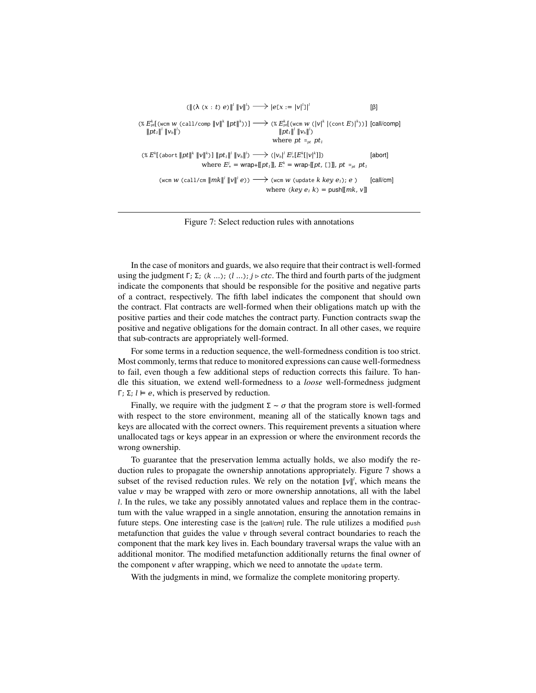$(|\langle \lambda(x : t) e \rangle|^l \, ||\nu||^l \rangle \longrightarrow |e[x := |v|^l]$ *<sup>l</sup>* [β]  $(\% E_{pt}^k [(\text{wcm } w \text{ (call/comp } ||v||^k ||pt||^k)))$   $\longrightarrow (\% E_{pt}^k [(\text{wcm } w \text{ (} |v|^k ||\text{cont } E)[^k]))]$  [call/comp]  $||pt_1||^l ||v_h||^l$  $||pt_1||^l ||v_h||^l$ where  $pt = p_t pt_1$  $(X, E^k[$  (abort  $||pt||^k ||v||^k)$ )  $||pt_1||^l ||v_h||^l$ )  $\longrightarrow$   $(|v_h|^l E^l_+[E^k[|v]|^k)$ [abort] where  $E^j_+$  = wrap+[[pt<sub>1</sub>]],  $E^k_-$  = wrap-[[pt, []]], pt =<sub>pt</sub> pt<sub>1</sub> (wcm *w* (call/cm  $\|m k\|^l \, \|v\|^l \, e)$ )  $\longrightarrow$  (wcm *w* (update *k key*  $e_1$ ); *e*) [call/cm] where  $(key e_1 k) = \text{push}[[mk, v]]$ 



In the case of monitors and guards, we also require that their contract is well-formed using the judgment  $\Gamma$ ;  $\Sigma$ ; (*k* ...); (*l* ...); *j*  $\triangleright$  *ctc*. The third and fourth parts of the judgment indicate the components that should be responsible for the positive and negative parts of a contract, respectively. The fifth label indicates the component that should own the contract. Flat contracts are well-formed when their obligations match up with the positive parties and their code matches the contract party. Function contracts swap the positive and negative obligations for the domain contract. In all other cases, we require that sub-contracts are appropriately well-formed.

For some terms in a reduction sequence, the well-formedness condition is too strict. Most commonly, terms that reduce to monitored expressions can cause well-formedness to fail, even though a few additional steps of reduction corrects this failure. To handle this situation, we extend well-formedness to a *loose* well-formedness judgment Γ; Σ; *l* ⊨ *e*, which is preserved by reduction.

Finally, we require with the judgment  $\Sigma \sim \sigma$  that the program store is well-formed with respect to the store environment, meaning all of the statically known tags and keys are allocated with the correct owners. This requirement prevents a situation where unallocated tags or keys appear in an expression or where the environment records the wrong ownership.

To guarantee that the preservation lemma actually holds, we also modify the reduction rules to propagate the ownership annotations appropriately. Figure 7 shows a subset of the revised reduction rules. We rely on the notation  $\|\mathbf{v}\|$ <sup>*l*</sup>, which means the value *v* may be wrapped with zero or more ownership annotations, all with the label *l* . In the rules, we take any possibly annotated values and replace them in the contractum with the value wrapped in a single annotation, ensuring the annotation remains in future steps. One interesting case is the [call/cm] rule. The rule utilizes a modified push metafunction that guides the value *v* through several contract boundaries to reach the component that the mark key lives in. Each boundary traversal wraps the value with an additional monitor. The modified metafunction additionally returns the final owner of the component *v* after wrapping, which we need to annotate the update term.

With the judgments in mind, we formalize the complete monitoring property.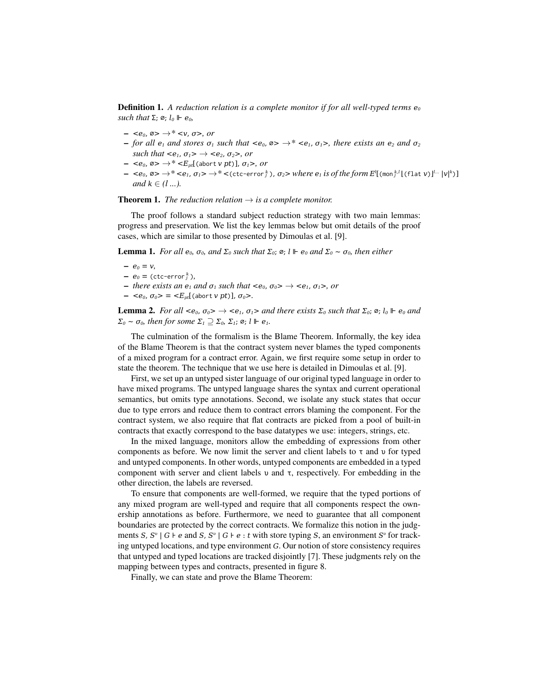**Definition 1.** A reduction relation is a complete monitor if for all well-typed terms  $e_0$ *such that* Σ;  $\emptyset$ ; *l*<sub>0</sub> ⊩ *e*<sub>0</sub>,

- $-$  <*e*<sub>0</sub>,  $\varnothing$ >  $\rightarrow$ <sup>\*</sup> <*v*,  $\varnothing$ >,  $\varnothing$ *r*
- $-$  *for all*  $e_1$  *and stores*  $\sigma_1$  *such that*  $\langle e_0, \emptyset \rangle \rightarrow^* \langle e_1, \sigma_1 \rangle$ , there exists an  $e_2$  and  $\sigma_2$ *such that*  $\langle e_1, \sigma_1 \rangle \rightarrow \langle e_2, \sigma_2 \rangle$ , *or*
- $-$  <*e*<sub>0</sub>,  $\varnothing$ >  $\rightarrow$  \* < $E_{pt}$ [(abort *v pt*)],  $\sigma_1$ >, *or*
- $-$  <eo, ø>  $\rightarrow$  \* <e1,  $\sigma_I$ >  $\rightarrow$  \* <(ctc-error $^k_J$ ),  $\sigma_2$ > where  $e_1$  is of the form E'[(mon $^{k,l}_J$ [(flat v)] $^{l\cdots}$   $|\mathsf{v}|^k)$ ] *and*  $k$  ∈  $(l$  ...).

#### **Theorem 1.** *The reduction relation*  $\rightarrow$  *is a complete monitor.*

The proof follows a standard subject reduction strategy with two main lemmas: progress and preservation. We list the key lemmas below but omit details of the proof cases, which are similar to those presented by Dimoulas et al. [9].

**Lemma 1.** *For all*  $e_0$ ,  $\sigma_0$ , and  $\Sigma_0$  such that  $\Sigma_0$ ;  $\varnothing$ ;  $l \Vdash e_0$  and  $\Sigma_0 \sim \sigma_0$ , then either

- $-e_0 = v$ ,
- $-e_0 = (\text{ctc-error}^k_i),$
- $-$  *there exists an*  $e_1$  *and*  $\sigma_1$  *such that*  $\langle e_0, \sigma_0 \rangle \rightarrow \langle e_1, \sigma_1 \rangle$ , *or*
- $,  $\sigma_0> = [(abort *v pt*)],  $\sigma_0>$ .$$

**Lemma 2.** For all  $\langle e_0, \sigma_0 \rangle \to \langle e_1, \sigma_1 \rangle$  and there exists  $\Sigma_0$  such that  $\Sigma_0$ ;  $\varnothing$ ;  $I_0 \Vdash e_0$  and  $\Sigma_0 \sim \sigma_0$ , then for some  $\Sigma_1 \supseteq \Sigma_0$ ,  $\Sigma_1$ ;  $\varnothing$ ;  $l \Vdash e_1$ .

The culmination of the formalism is the Blame Theorem. Informally, the key idea of the Blame Theorem is that the contract system never blames the typed components of a mixed program for a contract error. Again, we first require some setup in order to state the theorem. The technique that we use here is detailed in Dimoulas et al. [9].

First, we set up an untyped sister language of our original typed language in order to have mixed programs. The untyped language shares the syntax and current operational semantics, but omits type annotations. Second, we isolate any stuck states that occur due to type errors and reduce them to contract errors blaming the component. For the contract system, we also require that flat contracts are picked from a pool of built-in contracts that exactly correspond to the base datatypes we use: integers, strings, etc.

In the mixed language, monitors allow the embedding of expressions from other components as before. We now limit the server and client labels to  $\tau$  and  $\nu$  for typed and untyped components. In other words, untyped components are embedded in a typed component with server and client labels υ and τ, respectively. For embedding in the other direction, the labels are reversed.

To ensure that components are well-formed, we require that the typed portions of any mixed program are well-typed and require that all components respect the ownership annotations as before. Furthermore, we need to guarantee that all component boundaries are protected by the correct contracts. We formalize this notion in the judgments *S*, *S<sup>υ</sup>* | *G* ⊦ *e* and *S*, *S<sup>υ</sup>* | *G* ⊦ *e* : *t* with store typing *S* , an environment *S<sup>υ</sup>* for tracking untyped locations, and type environment *G* . Our notion of store consistency requires that untyped and typed locations are tracked disjointly [7]. These judgments rely on the mapping between types and contracts, presented in figure 8.

Finally, we can state and prove the Blame Theorem: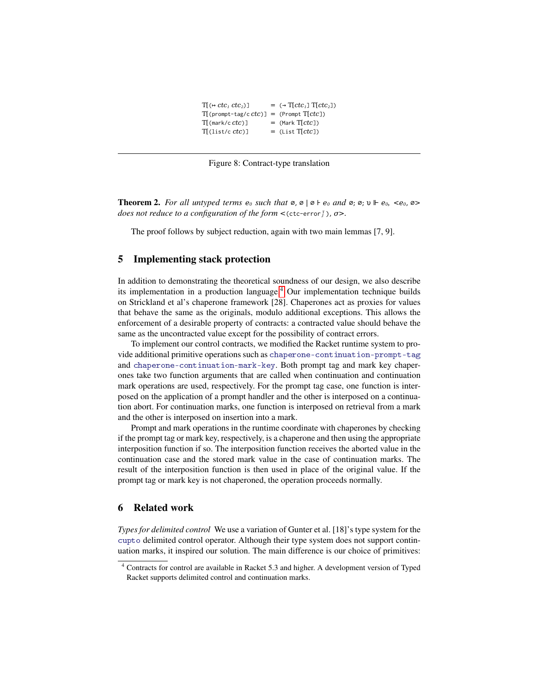| $T[\leftrightarrow ctc_1 ctc_2]$                 | $=$ $\leftrightarrow$ T[ctc <sub>1</sub> ] T[ctc <sub>2</sub> ]) |
|--------------------------------------------------|------------------------------------------------------------------|
| $T[$ (prompt-tag/c $ctc$ )] = (Prompt $T[ctc]$ ) |                                                                  |
| $T[$ (mark/c $ctc$ )]                            | $=$ (Mark $T[ctc]$ )                                             |
| $T[$ (list/c $ctc$ )]                            | $=$ (List T[ <i>ctc</i> ])                                       |



**Theorem 2.** For all untyped terms  $e_0$  such that  $\infty$ ,  $\infty$  |  $\infty$  +  $e_0$  and  $\infty$ ;  $\infty$  |  $\infty$  +  $e_0$ ,  $\infty$  |  $\infty$ *does not reduce to a configuration of the form* <(ctc-error *<sup>τ</sup> <sup>j</sup>* ), *σ*>*.*

The proof follows by subject reduction, again with two main lemmas [7, 9].

## 5 Implementing stack protection

In addition to demonstrating the theoretical soundness of our design, we also describe its implementation in a production language.<sup>[4](#page-16-0)</sup> Our implementation technique builds on Strickland et al's chaperone framework [28]. Chaperones act as proxies for values that behave the same as the originals, modulo additional exceptions. This allows the enforcement of a desirable property of contracts: a contracted value should behave the same as the uncontracted value except for the possibility of contract errors.

To implement our control contracts, we modified the Racket runtime system to provide additional primitive operations such as chaperone-continuation-prompt-tag and chaperone-continuation-mark-key. Both prompt tag and mark key chaperones take two function arguments that are called when continuation and continuation mark operations are used, respectively. For the prompt tag case, one function is interposed on the application of a prompt handler and the other is interposed on a continuation abort. For continuation marks, one function is interposed on retrieval from a mark and the other is interposed on insertion into a mark.

Prompt and mark operations in the runtime coordinate with chaperones by checking if the prompt tag or mark key, respectively, is a chaperone and then using the appropriate interposition function if so. The interposition function receives the aborted value in the continuation case and the stored mark value in the case of continuation marks. The result of the interposition function is then used in place of the original value. If the prompt tag or mark key is not chaperoned, the operation proceeds normally.

### 6 Related work

*Types for delimited control* We use a variation of Gunter et al. [18]'s type system for the cupto delimited control operator. Although their type system does not support continuation marks, it inspired our solution. The main difference is our choice of primitives:

<span id="page-16-0"></span><sup>4</sup> Contracts for control are available in Racket 5.3 and higher. A development version of Typed Racket supports delimited control and continuation marks.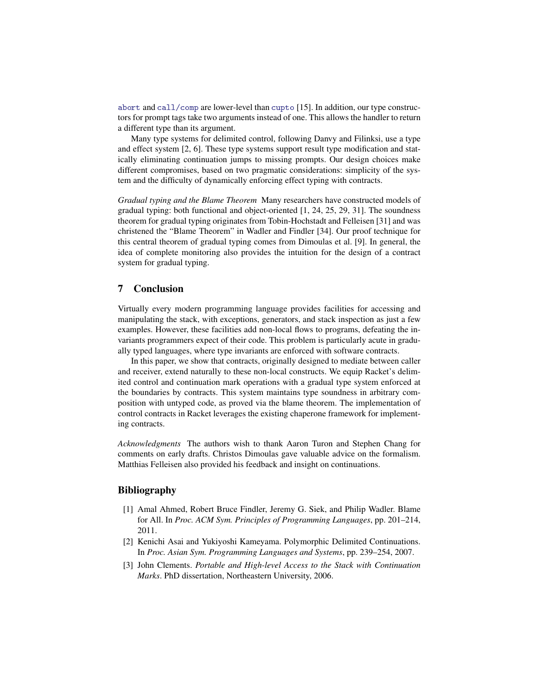abort and call/comp are lower-level than cupto [15]. In addition, our type constructors for prompt tags take two arguments instead of one. This allows the handler to return a different type than its argument.

Many type systems for delimited control, following Danvy and Filinksi, use a type and effect system [2, 6]. These type systems support result type modification and statically eliminating continuation jumps to missing prompts. Our design choices make different compromises, based on two pragmatic considerations: simplicity of the system and the difficulty of dynamically enforcing effect typing with contracts.

*Gradual typing and the Blame Theorem* Many researchers have constructed models of gradual typing: both functional and object-oriented [1, 24, 25, 29, 31]. The soundness theorem for gradual typing originates from Tobin-Hochstadt and Felleisen [31] and was christened the "Blame Theorem" in Wadler and Findler [34]. Our proof technique for this central theorem of gradual typing comes from Dimoulas et al. [9]. In general, the idea of complete monitoring also provides the intuition for the design of a contract system for gradual typing.

### 7 Conclusion

Virtually every modern programming language provides facilities for accessing and manipulating the stack, with exceptions, generators, and stack inspection as just a few examples. However, these facilities add non-local flows to programs, defeating the invariants programmers expect of their code. This problem is particularly acute in gradually typed languages, where type invariants are enforced with software contracts.

In this paper, we show that contracts, originally designed to mediate between caller and receiver, extend naturally to these non-local constructs. We equip Racket's delimited control and continuation mark operations with a gradual type system enforced at the boundaries by contracts. This system maintains type soundness in arbitrary composition with untyped code, as proved via the blame theorem. The implementation of control contracts in Racket leverages the existing chaperone framework for implementing contracts.

*Acknowledgments* The authors wish to thank Aaron Turon and Stephen Chang for comments on early drafts. Christos Dimoulas gave valuable advice on the formalism. Matthias Felleisen also provided his feedback and insight on continuations.

## Bibliography

- [1] Amal Ahmed, Robert Bruce Findler, Jeremy G. Siek, and Philip Wadler. Blame for All. In *Proc. ACM Sym. Principles of Programming Languages*, pp. 201–214, 2011.
- [2] Kenichi Asai and Yukiyoshi Kameyama. Polymorphic Delimited Continuations. In *Proc. Asian Sym. Programming Languages and Systems*, pp. 239–254, 2007.
- [3] John Clements. *Portable and High-level Access to the Stack with Continuation Marks*. PhD dissertation, Northeastern University, 2006.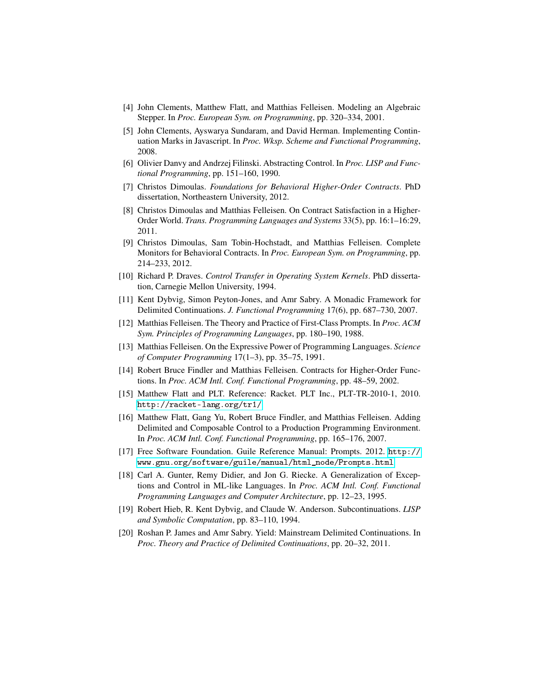- [4] John Clements, Matthew Flatt, and Matthias Felleisen. Modeling an Algebraic Stepper. In *Proc. European Sym. on Programming*, pp. 320–334, 2001.
- [5] John Clements, Ayswarya Sundaram, and David Herman. Implementing Continuation Marks in Javascript. In *Proc. Wksp. Scheme and Functional Programming*, 2008.
- [6] Olivier Danvy and Andrzej Filinski. Abstracting Control. In *Proc. LISP and Functional Programming*, pp. 151–160, 1990.
- [7] Christos Dimoulas. *Foundations for Behavioral Higher-Order Contracts*. PhD dissertation, Northeastern University, 2012.
- [8] Christos Dimoulas and Matthias Felleisen. On Contract Satisfaction in a Higher-Order World. *Trans. Programming Languages and Systems* 33(5), pp. 16:1–16:29, 2011.
- [9] Christos Dimoulas, Sam Tobin-Hochstadt, and Matthias Felleisen. Complete Monitors for Behavioral Contracts. In *Proc. European Sym. on Programming*, pp. 214–233, 2012.
- [10] Richard P. Draves. *Control Transfer in Operating System Kernels*. PhD dissertation, Carnegie Mellon University, 1994.
- [11] Kent Dybvig, Simon Peyton-Jones, and Amr Sabry. A Monadic Framework for Delimited Continuations. *J. Functional Programming* 17(6), pp. 687–730, 2007.
- [12] Matthias Felleisen. The Theory and Practice of First-Class Prompts. In *Proc. ACM Sym. Principles of Programming Languages*, pp. 180–190, 1988.
- [13] Matthias Felleisen. On the Expressive Power of Programming Languages. *Science of Computer Programming* 17(1–3), pp. 35–75, 1991.
- [14] Robert Bruce Findler and Matthias Felleisen. Contracts for Higher-Order Functions. In *Proc. ACM Intl. Conf. Functional Programming*, pp. 48–59, 2002.
- [15] Matthew Flatt and PLT. Reference: Racket. PLT Inc., PLT-TR-2010-1, 2010. <http://racket-lang.org/tr1/>
- [16] Matthew Flatt, Gang Yu, Robert Bruce Findler, and Matthias Felleisen. Adding Delimited and Composable Control to a Production Programming Environment. In *Proc. ACM Intl. Conf. Functional Programming*, pp. 165–176, 2007.
- [17] Free Software Foundation. Guile Reference Manual: Prompts. 2012. [http://](http://www.gnu.org/software/guile/manual/html_node/Prompts.html) [www.gnu.org/software/guile/manual/html\\_node/Prompts.html](http://www.gnu.org/software/guile/manual/html_node/Prompts.html)
- [18] Carl A. Gunter, Remy Didier, and Jon G. Riecke. A Generalization of Exceptions and Control in ML-like Languages. In *Proc. ACM Intl. Conf. Functional Programming Languages and Computer Architecture*, pp. 12–23, 1995.
- [19] Robert Hieb, R. Kent Dybvig, and Claude W. Anderson. Subcontinuations. *LISP and Symbolic Computation*, pp. 83–110, 1994.
- [20] Roshan P. James and Amr Sabry. Yield: Mainstream Delimited Continuations. In *Proc. Theory and Practice of Delimited Continuations*, pp. 20–32, 2011.